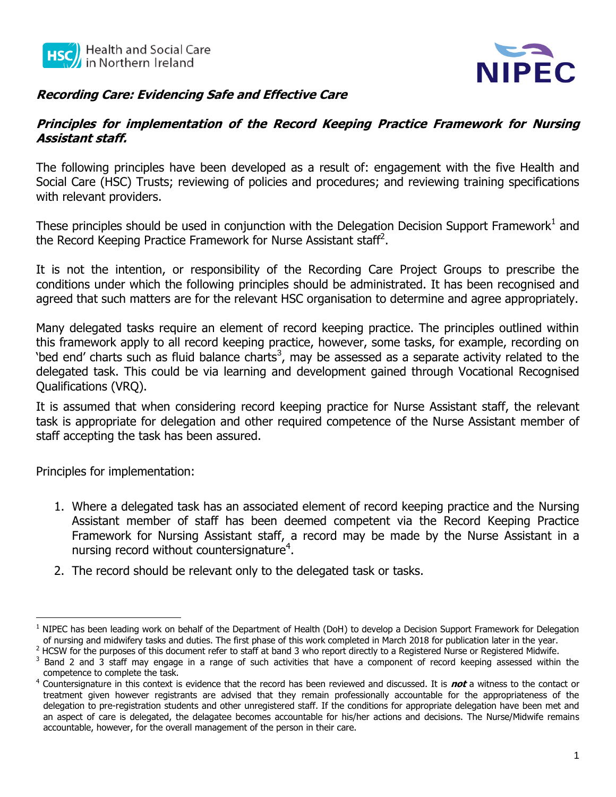



## **Recording Care: Evidencing Safe and Effective Care**

## **Principles for implementation of the Record Keeping Practice Framework for Nursing Assistant staff.**

The following principles have been developed as a result of: engagement with the five Health and Social Care (HSC) Trusts; reviewing of policies and procedures; and reviewing training specifications with relevant providers.

These principles should be used in conjunction with the Delegation Decision Support Framework<sup>1</sup> and the Record Keeping Practice Framework for Nurse Assistant staff<sup>2</sup>.

It is not the intention, or responsibility of the Recording Care Project Groups to prescribe the conditions under which the following principles should be administrated. It has been recognised and agreed that such matters are for the relevant HSC organisation to determine and agree appropriately.

Many delegated tasks require an element of record keeping practice. The principles outlined within this framework apply to all record keeping practice, however, some tasks, for example, recording on 'bed end' charts such as fluid balance charts<sup>3</sup>, may be assessed as a separate activity related to the delegated task. This could be via learning and development gained through Vocational Recognised Qualifications (VRQ).

It is assumed that when considering record keeping practice for Nurse Assistant staff, the relevant task is appropriate for delegation and other required competence of the Nurse Assistant member of staff accepting the task has been assured.

Principles for implementation:

 $\overline{a}$ 

- 1. Where a delegated task has an associated element of record keeping practice and the Nursing Assistant member of staff has been deemed competent via the Record Keeping Practice Framework for Nursing Assistant staff, a record may be made by the Nurse Assistant in a nursing record without countersignature<sup>4</sup>.
- 2. The record should be relevant only to the delegated task or tasks.

 $<sup>1</sup>$  NIPEC has been leading work on behalf of the Department of Health (DoH) to develop a Decision Support Framework for Delegation</sup> of nursing and midwifery tasks and duties. The first phase of this work completed in March 2018 for publication later in the year.

<sup>&</sup>lt;sup>2</sup> HCSW for the purposes of this document refer to staff at band 3 who report directly to a Registered Nurse or Registered Midwife.

<sup>3</sup> Band 2 and 3 staff may engage in a range of such activities that have a component of record keeping assessed within the competence to complete the task.

<sup>4</sup> Countersignature in this context is evidence that the record has been reviewed and discussed. It is **not** a witness to the contact or treatment given however registrants are advised that they remain professionally accountable for the appropriateness of the delegation to pre-registration students and other unregistered staff. If the conditions for appropriate delegation have been met and an aspect of care is delegated, the delagatee becomes accountable for his/her actions and decisions. The Nurse/Midwife remains accountable, however, for the overall management of the person in their care.